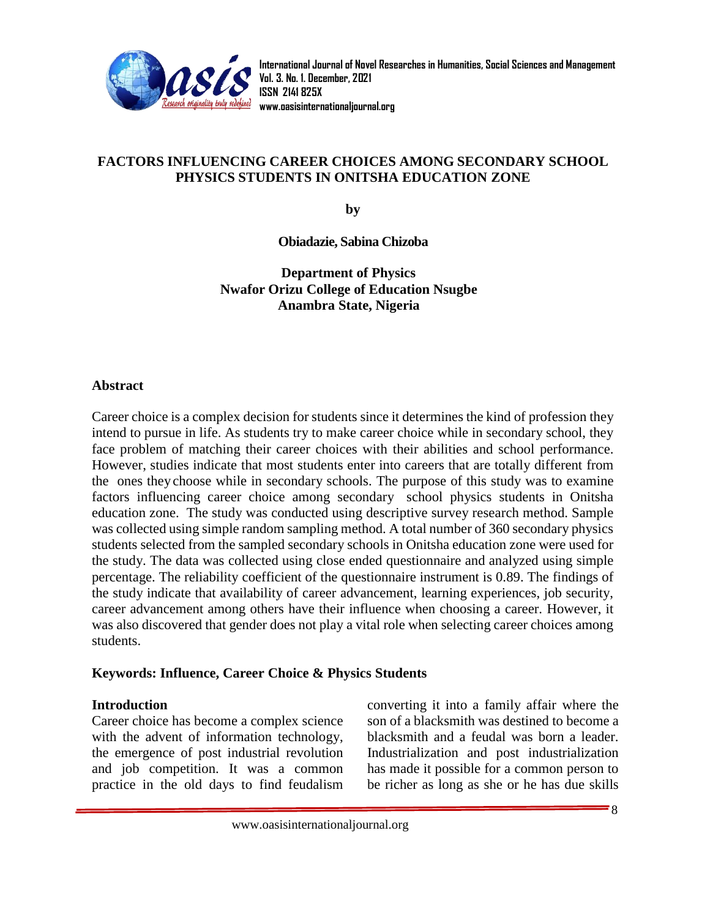

## **FACTORS INFLUENCING CAREER CHOICES AMONG SECONDARY SCHOOL PHYSICS STUDENTS IN ONITSHA EDUCATION ZONE**

**by**

**Obiadazie, Sabina Chizoba**

**Department of Physics Nwafor Orizu College of Education Nsugbe Anambra State, Nigeria**

#### **Abstract**

Career choice is a complex decision for students since it determines the kind of profession they intend to pursue in life. As students try to make career choice while in secondary school, they face problem of matching their career choices with their abilities and school performance. However, studies indicate that most students enter into careers that are totally different from the ones they choose while in secondary schools. The purpose of this study was to examine factors influencing career choice among secondary school physics students in Onitsha education zone. The study was conducted using descriptive survey research method. Sample was collected using simple random sampling method. A total number of 360 secondary physics students selected from the sampled secondary schools in Onitsha education zone were used for the study. The data was collected using close ended questionnaire and analyzed using simple percentage. The reliability coefficient of the questionnaire instrument is 0.89. The findings of the study indicate that availability of career advancement, learning experiences, job security, career advancement among others have their influence when choosing a career. However, it was also discovered that gender does not play a vital role when selecting career choices among students.

#### **Keywords: Influence, Career Choice & Physics Students**

#### **Introduction**

Career choice has become a complex science with the advent of information technology, the emergence of post industrial revolution and job competition. It was a common practice in the old days to find feudalism converting it into a family affair where the son of a blacksmith was destined to become a blacksmith and a feudal was born a leader. Industrialization and post industrialization has made it possible for a common person to be richer as long as she or he has due skills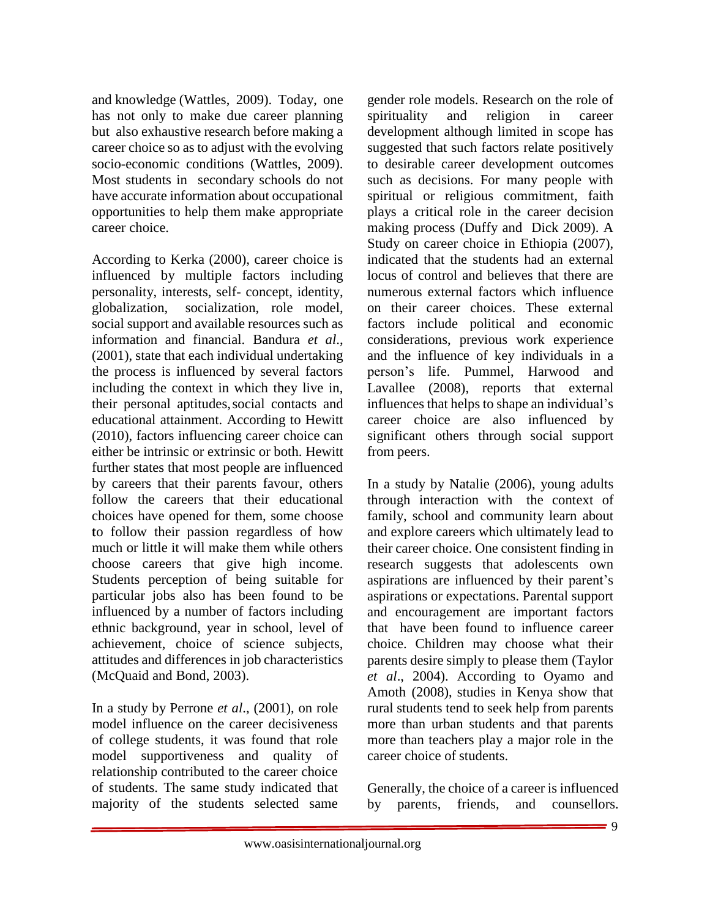and knowledge (Wattles, 2009). Today, one has not only to make due career planning but also exhaustive research before making a career choice so as to adjust with the evolving socio-economic conditions (Wattles, 2009). Most students in secondary schools do not have accurate information about occupational opportunities to help them make appropriate career choice.

According to Kerka (2000), career choice is influenced by multiple factors including personality, interests, self- concept, identity, globalization, socialization, role model, social support and available resources such as information and financial. Bandura *et al*., (2001), state that each individual undertaking the process is influenced by several factors including the context in which they live in, their personal aptitudes,social contacts and educational attainment. According to Hewitt (2010), factors influencing career choice can either be intrinsic or extrinsic or both. Hewitt further states that most people are influenced by careers that their parents favour, others follow the careers that their educational choices have opened for them, some choose to follow their passion regardless of how much or little it will make them while others choose careers that give high income. Students perception of being suitable for particular jobs also has been found to be influenced by a number of factors including ethnic background, year in school, level of achievement, choice of science subjects, attitudes and differences in job characteristics (McQuaid and Bond, 2003).

In a study by Perrone *et al*., (2001), on role model influence on the career decisiveness of college students, it was found that role model supportiveness and quality of relationship contributed to the career choice of students. The same study indicated that majority of the students selected same

gender role models. Research on the role of spirituality and religion in career development although limited in scope has suggested that such factors relate positively to desirable career development outcomes such as decisions. For many people with spiritual or religious commitment, faith plays a critical role in the career decision making process (Duffy and Dick 2009). A Study on career choice in Ethiopia (2007), indicated that the students had an external locus of control and believes that there are numerous external factors which influence on their career choices. These external factors include political and economic considerations, previous work experience and the influence of key individuals in a person's life. Pummel, Harwood and Lavallee (2008), reports that external influences that helps to shape an individual's career choice are also influenced by significant others through social support from peers.

In a study by Natalie (2006), young adults through interaction with the context of family, school and community learn about and explore careers which ultimately lead to their career choice. One consistent finding in research suggests that adolescents own aspirations are influenced by their parent's aspirations or expectations. Parental support and encouragement are important factors that have been found to influence career choice. Children may choose what their parents desire simply to please them (Taylor *et al*., 2004). According to Oyamo and Amoth (2008), studies in Kenya show that rural students tend to seek help from parents more than urban students and that parents more than teachers play a major role in the career choice of students.

Generally, the choice of a career is influenced by parents, friends, and counsellors.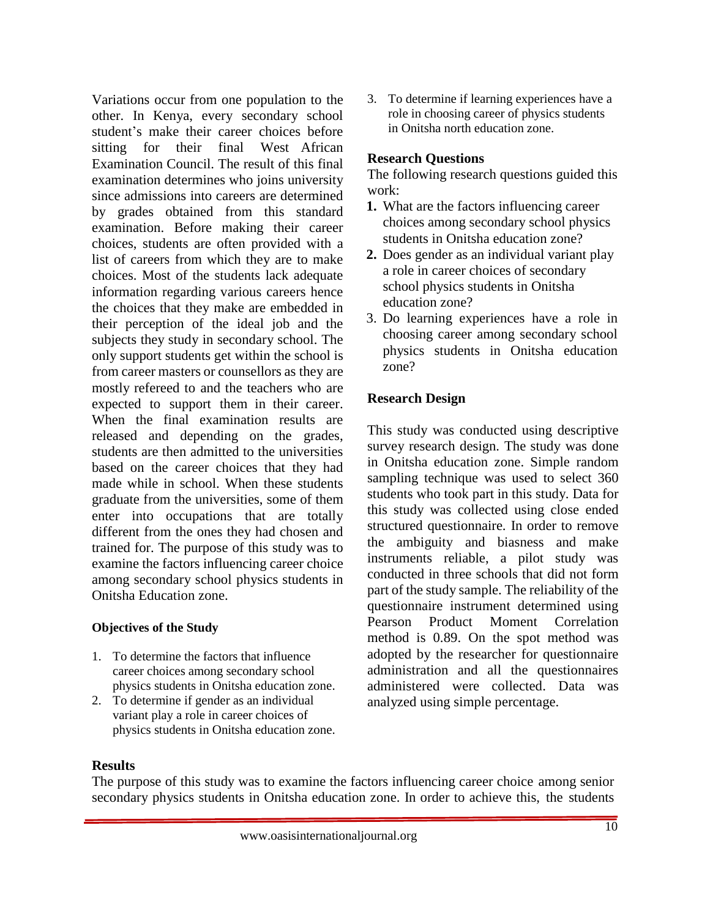Variations occur from one population to the other. In Kenya, every secondary school student's make their career choices before sitting for their final West African Examination Council. The result of this final examination determines who joins university since admissions into careers are determined by grades obtained from this standard examination. Before making their career choices, students are often provided with a list of careers from which they are to make choices. Most of the students lack adequate information regarding various careers hence the choices that they make are embedded in their perception of the ideal job and the subjects they study in secondary school. The only support students get within the school is from career masters or counsellors as they are mostly refereed to and the teachers who are expected to support them in their career. When the final examination results are released and depending on the grades, students are then admitted to the universities based on the career choices that they had made while in school. When these students graduate from the universities, some of them enter into occupations that are totally different from the ones they had chosen and trained for. The purpose of this study was to examine the factors influencing career choice among secondary school physics students in Onitsha Education zone.

## **Objectives of the Study**

- 1. To determine the factors that influence career choices among secondary school physics students in Onitsha education zone.
- 2. To determine if gender as an individual variant play a role in career choices of physics students in Onitsha education zone.

3. To determine if learning experiences have a role in choosing career of physics students in Onitsha north education zone.

# **Research Questions**

The following research questions guided this work:

- **1.** What are the factors influencing career choices among secondary school physics students in Onitsha education zone?
- **2.** Does gender as an individual variant play a role in career choices of secondary school physics students in Onitsha education zone?
- 3. Do learning experiences have a role in choosing career among secondary school physics students in Onitsha education zone?

# **Research Design**

This study was conducted using descriptive survey research design. The study was done in Onitsha education zone. Simple random sampling technique was used to select 360 students who took part in this study. Data for this study was collected using close ended structured questionnaire. In order to remove the ambiguity and biasness and make instruments reliable, a pilot study was conducted in three schools that did not form part of the study sample. The reliability of the questionnaire instrument determined using Pearson Product Moment Correlation method is 0.89. On the spot method was adopted by the researcher for questionnaire administration and all the questionnaires administered were collected. Data was analyzed using simple percentage.

## **Results**

The purpose of this study was to examine the factors influencing career choice among senior secondary physics students in Onitsha education zone. In order to achieve this, the students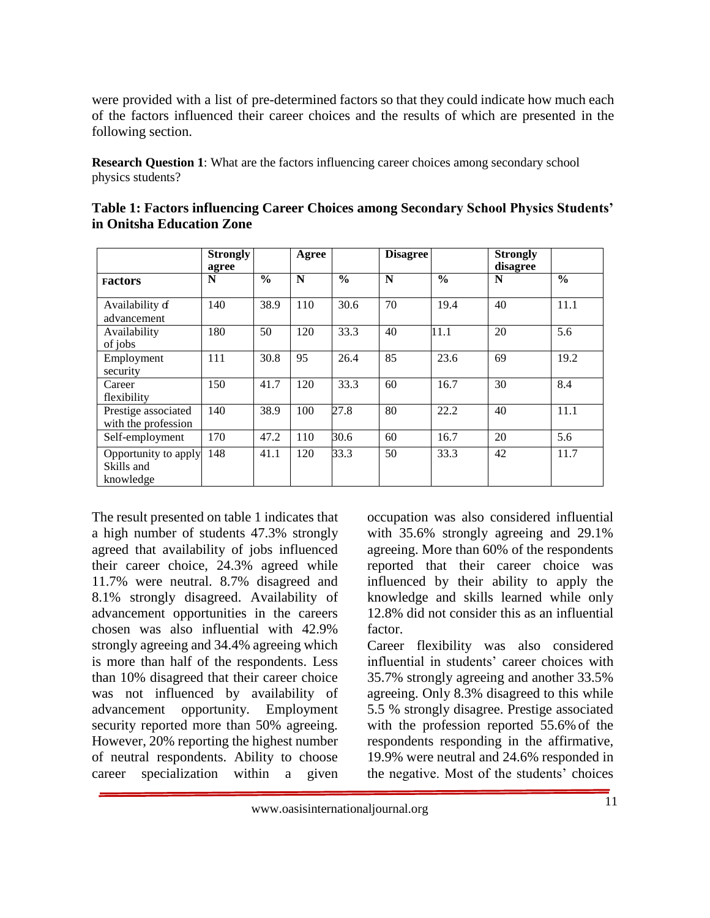were provided with a list of pre-determined factors so that they could indicate how much each of the factors influenced their career choices and the results of which are presented in the following section.

**Research Question 1:** What are the factors influencing career choices among secondary school physics students?

|                                                 | <b>Strongly</b> |               |       |               | <b>Disagree</b> |               |                             |               |
|-------------------------------------------------|-----------------|---------------|-------|---------------|-----------------|---------------|-----------------------------|---------------|
|                                                 | agree           |               | Agree |               |                 |               | <b>Strongly</b><br>disagree |               |
| <b>Factors</b>                                  | N               | $\frac{6}{6}$ | N     | $\frac{0}{0}$ | N               | $\frac{0}{0}$ | N                           | $\frac{0}{0}$ |
| Availability of<br>advancement                  | 140             | 38.9          | 110   | 30.6          | 70              | 19.4          | 40                          | 11.1          |
| Availability<br>of jobs                         | 180             | 50            | 120   | 33.3          | 40              | 11.1          | 20                          | 5.6           |
| Employment<br>security                          | 111             | 30.8          | 95    | 26.4          | 85              | 23.6          | 69                          | 19.2          |
| Career<br>flexibility                           | 150             | 41.7          | 120   | 33.3          | 60              | 16.7          | 30                          | 8.4           |
| Prestige associated<br>with the profession      | 140             | 38.9          | 100   | 27.8          | 80              | 22.2          | 40                          | 11.1          |
| Self-employment                                 | 170             | 47.2          | 110   | 30.6          | 60              | 16.7          | 20                          | 5.6           |
| Opportunity to apply<br>Skills and<br>knowledge | 148             | 41.1          | 120   | 33.3          | 50              | 33.3          | 42                          | 11.7          |

| Table 1: Factors influencing Career Choices among Secondary School Physics Students' |  |
|--------------------------------------------------------------------------------------|--|
| in Onitsha Education Zone                                                            |  |

The result presented on table 1 indicates that a high number of students 47.3% strongly agreed that availability of jobs influenced their career choice, 24.3% agreed while 11.7% were neutral. 8.7% disagreed and 8.1% strongly disagreed. Availability of advancement opportunities in the careers chosen was also influential with 42.9% strongly agreeing and 34.4% agreeing which is more than half of the respondents. Less than 10% disagreed that their career choice was not influenced by availability of advancement opportunity. Employment security reported more than 50% agreeing. However, 20% reporting the highest number of neutral respondents. Ability to choose career specialization within a given

occupation was also considered influential with 35.6% strongly agreeing and 29.1% agreeing. More than 60% of the respondents reported that their career choice was influenced by their ability to apply the knowledge and skills learned while only 12.8% did not consider this as an influential factor.

Career flexibility was also considered influential in students' career choices with 35.7% strongly agreeing and another 33.5% agreeing. Only 8.3% disagreed to this while 5.5 % strongly disagree. Prestige associated with the profession reported 55.6% of the respondents responding in the affirmative, 19.9% were neutral and 24.6% responded in the negative. Most of the students' choices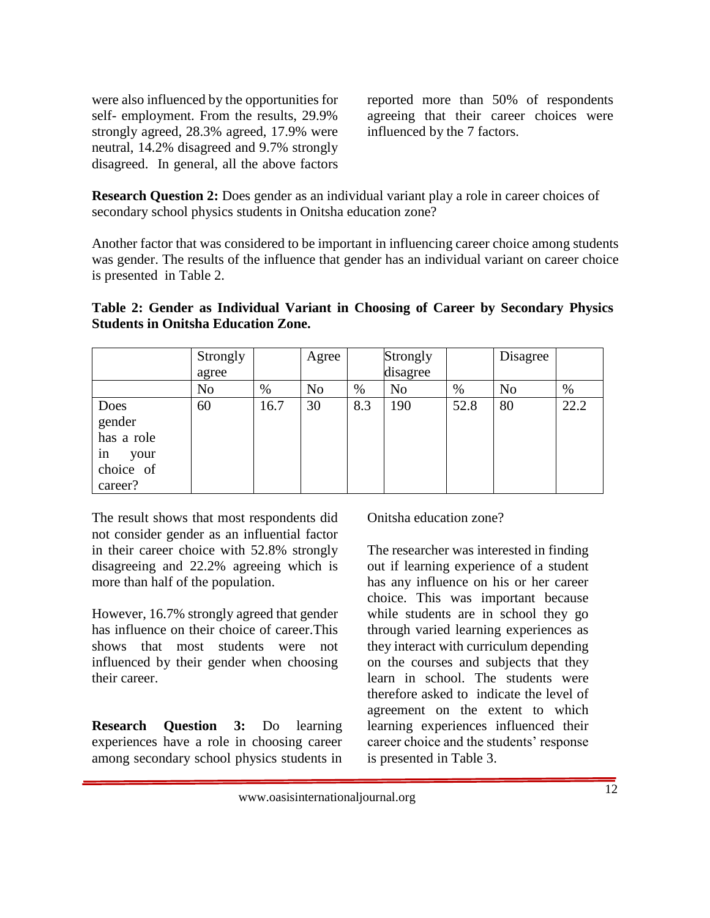were also influenced by the opportunities for self- employment. From the results, 29.9% strongly agreed, 28.3% agreed, 17.9% were neutral, 14.2% disagreed and 9.7% strongly disagreed. In general, all the above factors

reported more than 50% of respondents agreeing that their career choices were influenced by the 7 factors.

**Research Question 2:** Does gender as an individual variant play a role in career choices of secondary school physics students in Onitsha education zone?

Another factor that was considered to be important in influencing career choice among students was gender. The results of the influence that gender has an individual variant on career choice is presented in Table 2.

|  | Table 2: Gender as Individual Variant in Choosing of Career by Secondary Physics |  |  |  |  |
|--|----------------------------------------------------------------------------------|--|--|--|--|
|  | <b>Students in Onitsha Education Zone.</b>                                       |  |  |  |  |

|            | Strongly       |      | Agree          |      | Strongly       |      | Disagree       |      |
|------------|----------------|------|----------------|------|----------------|------|----------------|------|
|            | agree          |      |                |      | disagree       |      |                |      |
|            | N <sub>o</sub> | %    | N <sub>o</sub> | $\%$ | N <sub>o</sub> | %    | N <sub>0</sub> | %    |
| Does       | 60             | 16.7 | 30             | 8.3  | 190            | 52.8 | 80             | 22.2 |
| gender     |                |      |                |      |                |      |                |      |
| has a role |                |      |                |      |                |      |                |      |
| in<br>your |                |      |                |      |                |      |                |      |
| choice of  |                |      |                |      |                |      |                |      |
| career?    |                |      |                |      |                |      |                |      |

The result shows that most respondents did not consider gender as an influential factor in their career choice with 52.8% strongly disagreeing and 22.2% agreeing which is more than half of the population.

However, 16.7% strongly agreed that gender has influence on their choice of career.This shows that most students were not influenced by their gender when choosing their career.

**Research Question 3:** Do learning experiences have a role in choosing career among secondary school physics students in Onitsha education zone?

The researcher was interested in finding out if learning experience of a student has any influence on his or her career choice. This was important because while students are in school they go through varied learning experiences as they interact with curriculum depending on the courses and subjects that they learn in school. The students were therefore asked to indicate the level of agreement on the extent to which learning experiences influenced their career choice and the students' response is presented in Table 3.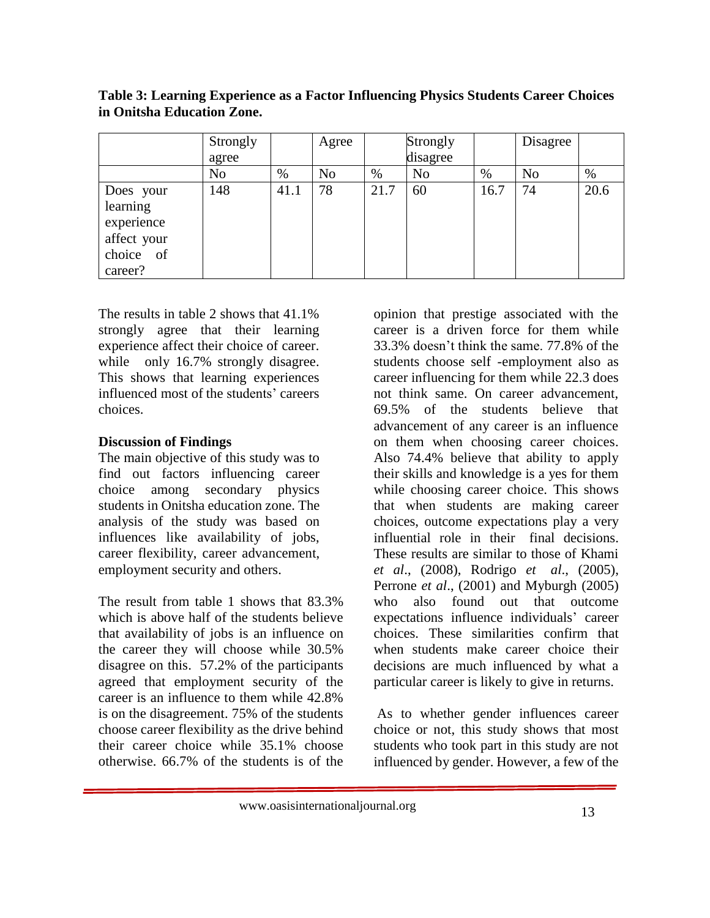|                                                                            | Strongly |      | Agree          |      | Strongly       |      | Disagree       |      |
|----------------------------------------------------------------------------|----------|------|----------------|------|----------------|------|----------------|------|
|                                                                            | agree    |      |                |      | disagree       |      |                |      |
|                                                                            | No       | %    | N <sub>o</sub> | $\%$ | N <sub>0</sub> | %    | N <sub>o</sub> | $\%$ |
| Does your<br>learning<br>experience<br>affect your<br>choice of<br>career? | 148      | 41.1 | 78             | 21.7 | 60             | 16.7 | 74             | 20.6 |

**Table 3: Learning Experience as a Factor Influencing Physics Students Career Choices in Onitsha Education Zone.**

The results in table 2 shows that 41.1% strongly agree that their learning experience affect their choice of career. while only 16.7% strongly disagree. This shows that learning experiences influenced most of the students' careers choices.

## **Discussion of Findings**

The main objective of this study was to find out factors influencing career choice among secondary physics students in Onitsha education zone. The analysis of the study was based on influences like availability of jobs, career flexibility, career advancement, employment security and others.

The result from table 1 shows that 83.3% which is above half of the students believe that availability of jobs is an influence on the career they will choose while 30.5% disagree on this. 57.2% of the participants agreed that employment security of the career is an influence to them while 42.8% is on the disagreement. 75% of the students choose career flexibility as the drive behind their career choice while 35.1% choose otherwise. 66.7% of the students is of the

opinion that prestige associated with the career is a driven force for them while 33.3% doesn't think the same. 77.8% of the students choose self -employment also as career influencing for them while 22.3 does not think same. On career advancement, 69.5% of the students believe that advancement of any career is an influence on them when choosing career choices. Also 74.4% believe that ability to apply their skills and knowledge is a yes for them while choosing career choice. This shows that when students are making career choices, outcome expectations play a very influential role in their final decisions. These results are similar to those of Khami *et al*., (2008), Rodrigo *et al*., (2005), Perrone *et al*., (2001) and Myburgh (2005) who also found out that outcome expectations influence individuals' career choices. These similarities confirm that when students make career choice their decisions are much influenced by what a particular career is likely to give in returns.

As to whether gender influences career choice or not, this study shows that most students who took part in this study are not influenced by gender. However, a few of the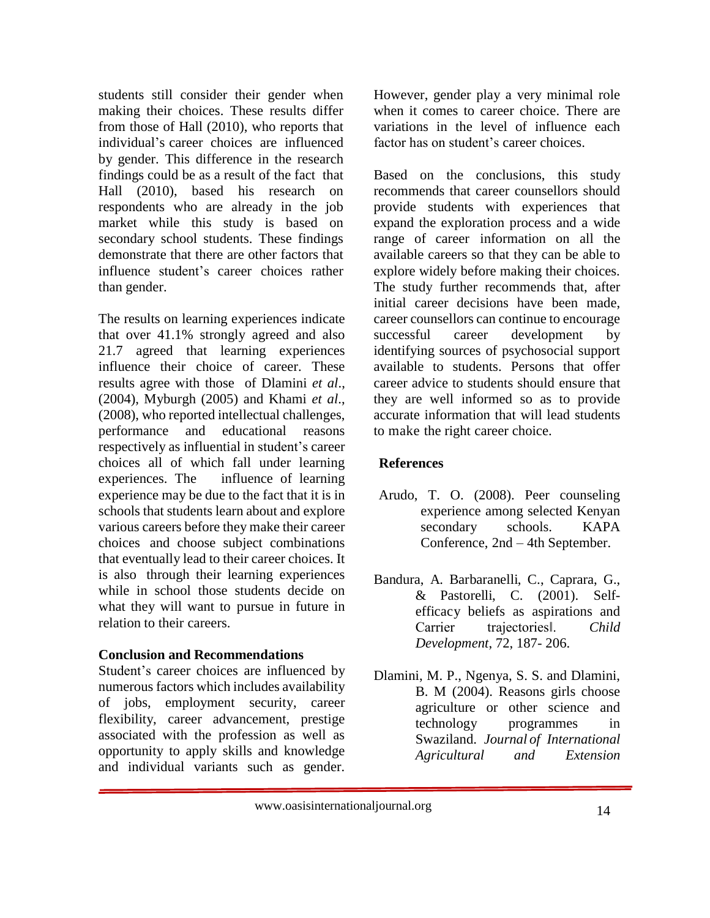students still consider their gender when making their choices. These results differ from those of Hall (2010), who reports that individual's career choices are influenced by gender. This difference in the research findings could be as a result of the fact that Hall (2010), based his research on respondents who are already in the job market while this study is based on secondary school students. These findings demonstrate that there are other factors that influence student's career choices rather than gender.

The results on learning experiences indicate that over 41.1% strongly agreed and also 21.7 agreed that learning experiences influence their choice of career. These results agree with those of Dlamini *et al*., (2004), Myburgh (2005) and Khami *et al*., (2008), who reported intellectual challenges, performance and educational reasons respectively as influential in student's career choices all of which fall under learning experiences. The influence of learning experience may be due to the fact that it is in schools that students learn about and explore various careers before they make their career choices and choose subject combinations that eventually lead to their career choices. It is also through their learning experiences while in school those students decide on what they will want to pursue in future in relation to their careers.

## **Conclusion and Recommendations**

Student's career choices are influenced by numerous factors which includes availability of jobs, employment security, career flexibility, career advancement, prestige associated with the profession as well as opportunity to apply skills and knowledge and individual variants such as gender. However, gender play a very minimal role when it comes to career choice. There are variations in the level of influence each factor has on student's career choices.

Based on the conclusions, this study recommends that career counsellors should provide students with experiences that expand the exploration process and a wide range of career information on all the available careers so that they can be able to explore widely before making their choices. The study further recommends that, after initial career decisions have been made, career counsellors can continue to encourage successful career development by identifying sources of psychosocial support available to students. Persons that offer career advice to students should ensure that they are well informed so as to provide accurate information that will lead students to make the right career choice.

## **References**

- Arudo, T. O. (2008). Peer counseling experience among selected Kenyan secondary schools. KAPA Conference, 2nd – 4th September.
- Bandura, A. Barbaranelli, C., Caprara, G., & Pastorelli, C. (2001). Selfefficacy beliefs as aspirations and Carrier trajectories‖. *Child Development*, 72, 187- 206.
- Dlamini, M. P., Ngenya, S. S. and Dlamini, B. M (2004). Reasons girls choose agriculture or other science and technology programmes in Swaziland. *Journal of International Agricultural and Extension*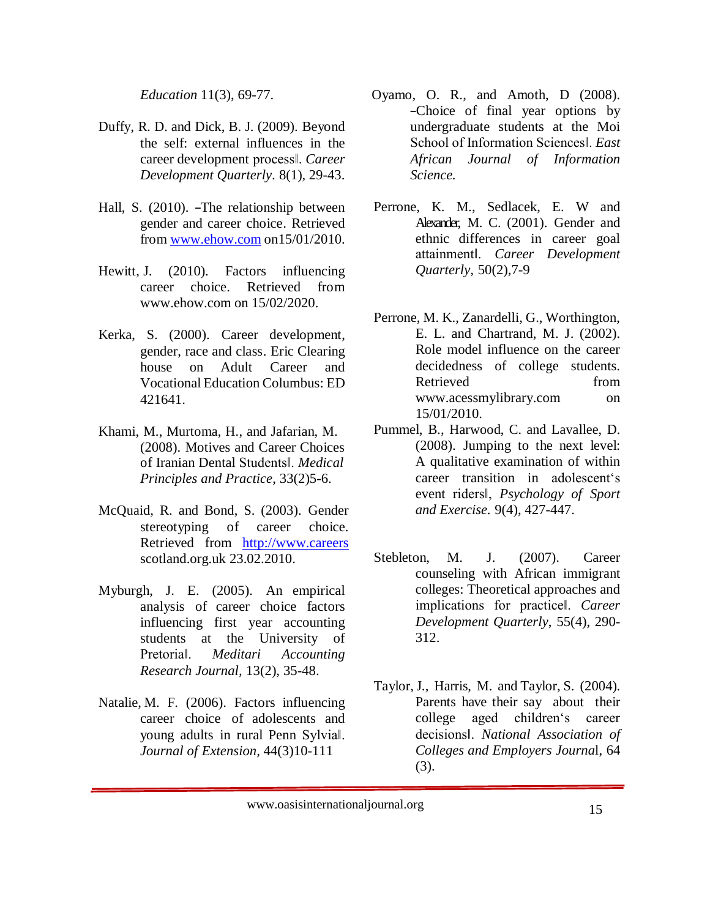*Education* 11(3), 69-77.

- Duffy, R. D. and Dick, B. J. (2009). Beyond the self: external influences in the career development process‖. *Career Development Quarterly*. 8(1), 29-43.
- Hall, S. (2010). ―The relationship between gender and career choice. Retrieved from [www.ehow.com](http://www.ehow.com/) on15/01/2010.
- Hewitt, J. (2010). Factors influencing career choice. Retrieved from [www.ehow.com](http://www.ehow.com/) on 15/02/2020.
- Kerka, S. (2000). Career development, gender, race and class. Eric Clearing house on Adult Career and Vocational Education Columbus: ED 421641.
- Khami, M., Murtoma, H., and Jafarian, M. (2008). Motives and Career Choices of Iranian Dental Students‖. *Medical Principles and Practice*, 33(2)5-6.
- McQuaid, R. and Bond, S. (2003). Gender stereotyping of career choice. Retrieved from http://www.careers scotland.org.uk 23.02.2010.
- Myburgh, J. E. (2005). An empirical analysis of career choice factors influencing first year accounting students at the University of Pretoria‖. *Meditari Accounting Research Journal,* 13(2), 35-48.
- Natalie, M. F. (2006). Factors influencing career choice of adolescents and young adults in rural Penn Sylvia‖. *Journal of Extension,* 44(3)10-111
- Oyamo, O. R., and Amoth, D (2008). ―Choice of final year options by undergraduate students at the Moi School of Information Sciences‖. *East African Journal of Information Science.*
- Perrone, K. M., Sedlacek, E. W and Alexander, M. C. (2001). Gender and ethnic differences in career goal attainment‖. *Career Development Quarterly,* 50(2),7-9
- Perrone, M. K., Zanardelli, G., Worthington, E. L. and Chartrand, M. J. (2002). Role model influence on the career decidedness of college students. Retrieved from [www.acessmylibrary.com](http://www.acessmylibrary.com/) on 15/01/2010.
- Pummel, B., Harwood, C. and Lavallee, D. (2008). Jumping to the next level: A qualitative examination of within career transition in adolescent's event riders‖, *Psychology of Sport and Exercise.* 9(4), 427-447.
- Stebleton, M. J. (2007). Career counseling with African immigrant colleges: Theoretical approaches and implications for practice‖. *Career Development Quarterly*, 55(4), 290- 312.
- Taylor, J., Harris, M. and Taylor, S. (2004). Parents have their say about their college aged children's career decisions‖. *National Association of Colleges and Employers Journa*l, 64 (3).